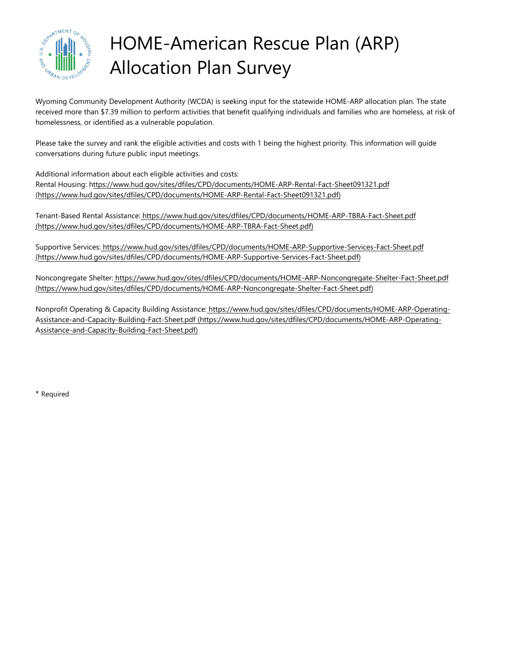

# HOME-American Rescue Plan (ARP) Allocation Plan Survey

Wyoming Community Development Authority (WCDA) is seeking input for the statewide HOME-ARP allocation plan. The state received more than \$7.39 million to perform activities that benefit qualifying individuals and families who are homeless, at risk of homelessness, or identified as a vulnerable population.

Please take the survey and rank the eligible activities and costs with 1 being the highest priority. This information will guide conversations during future public input meetings.

Additional information about each eligible activities and costs: Rental Housing: <https://www.hud.gov/sites/dfiles/CPD/documents/HOME-ARP-Rental-Fact-Sheet091321.pdf> [\(https://www.hud.gov/sites/dfiles/CPD/documents/HOME-ARP-Rental-Fact-Sheet091321.pdf\)](https://www.hud.gov/sites/dfiles/CPD/documents/HOME-ARP-Rental-Fact-Sheet091321.pdf)

Tenant-Based Rental Assistance: <https://www.hud.gov/sites/dfiles/CPD/documents/HOME-ARP-TBRA-Fact-Sheet.pdf> [\(https://www.hud.gov/sites/dfiles/CPD/documents/HOME-ARP-TBRA-Fact-Sheet.pdf\)](https://www.hud.gov/sites/dfiles/CPD/documents/HOME-ARP-TBRA-Fact-Sheet.pdf)

Supportive Services: <https://www.hud.gov/sites/dfiles/CPD/documents/HOME-ARP-Supportive-Services-Fact-Sheet.pdf> [\(https://www.hud.gov/sites/dfiles/CPD/documents/HOME-ARP-Supportive-Services-Fact-Sheet.pdf\)](https://www.hud.gov/sites/dfiles/CPD/documents/HOME-ARP-Supportive-Services-Fact-Sheet.pdf)

Noncongregate Shelter: <https://www.hud.gov/sites/dfiles/CPD/documents/HOME-ARP-Noncongregate-Shelter-Fact-Sheet.pdf> [\(https://www.hud.gov/sites/dfiles/CPD/documents/HOME-ARP-Noncongregate-Shelter-Fact-Sheet.pdf\)](https://www.hud.gov/sites/dfiles/CPD/documents/HOME-ARP-Noncongregate-Shelter-Fact-Sheet.pdf)

Nonprofit Operating & Capacity Building Assistance: [https://www.hud.gov/sites/dfiles/CPD/documents/HOME-ARP-Operating-](https://www.hud.gov/sites/dfiles/CPD/documents/HOME-ARP-Operating-Assistance-and-Capacity-Building-Fact-Sheet.pdf)[Assistance-and-Capacity-Building-Fact-Sheet.pdf \(https://www.hud.gov/sites/dfiles/CPD/documents/HOME-ARP-Operating-](https://www.hud.gov/sites/dfiles/CPD/documents/HOME-ARP-Operating-Assistance-and-Capacity-Building-Fact-Sheet.pdf)[Assistance-and-Capacity-Building-Fact-Sheet.pdf\)](https://www.hud.gov/sites/dfiles/CPD/documents/HOME-ARP-Operating-Assistance-and-Capacity-Building-Fact-Sheet.pdf)

\* Required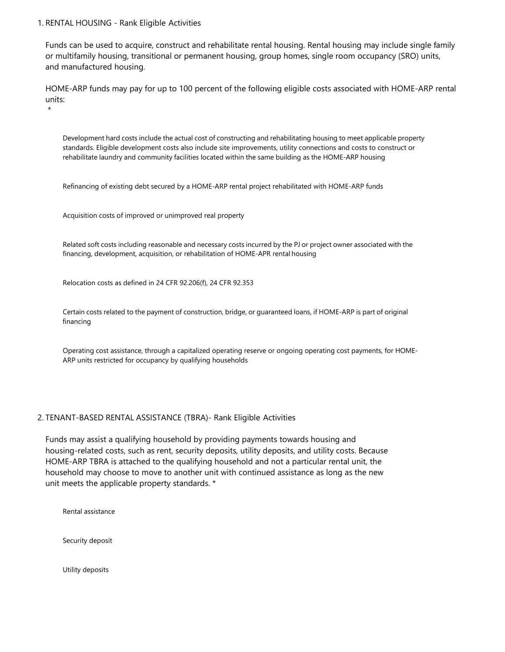## 1. RENTAL HOUSING - Rank Eligible Activities

\*

Funds can be used to acquire, construct and rehabilitate rental housing. Rental housing may include single family or multifamily housing, transitional or permanent housing, group homes, single room occupancy (SRO) units, and manufactured housing.

HOME-ARP funds may pay for up to 100 percent of the following eligible costs associated with HOME-ARP rental units:

Development hard costs include the actual cost of constructing and rehabilitating housing to meet applicable property standards. Eligible development costs also include site improvements, utility connections and costs to construct or rehabilitate laundry and community facilities located within the same building as the HOME-ARP housing

Refinancing of existing debt secured by a HOME-ARP rental project rehabilitated with HOME-ARP funds

Acquisition costs of improved or unimproved real property

Related soft costs including reasonable and necessary costs incurred by the PJ or project owner associated with the financing, development, acquisition, or rehabilitation of HOME-APR rental housing

Relocation costs as defined in 24 CFR 92.206(f), 24 CFR 92.353

Certain costs related to the payment of construction, bridge, or guaranteed loans, if HOME-ARP is part of original financing

Operating cost assistance, through a capitalized operating reserve or ongoing operating cost payments, for HOME-ARP units restricted for occupancy by qualifying households

## 2. TENANT-BASED RENTAL ASSISTANCE (TBRA)- Rank Eligible Activities

Funds may assist a qualifying household by providing payments towards housing and housing-related costs, such as rent, security deposits, utility deposits, and utility costs. Because HOME-ARP TBRA is attached to the qualifying household and not a particular rental unit, the household may choose to move to another unit with continued assistance as long as the new unit meets the applicable property standards. \*

Rental assistance

Security deposit

Utility deposits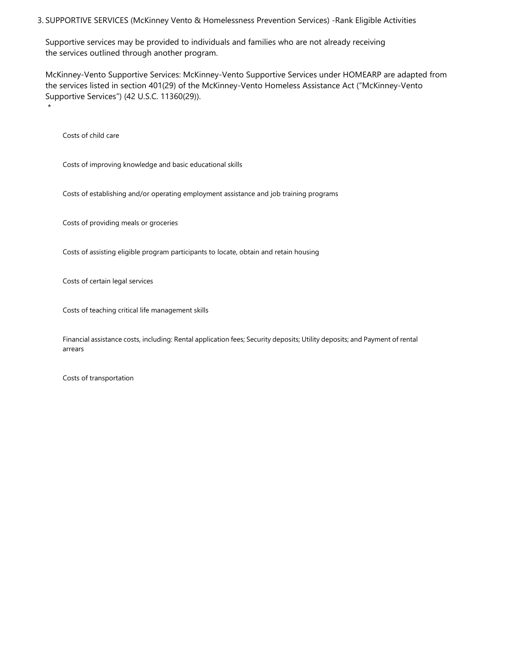### 3. SUPPORTIVE SERVICES (McKinney Vento & Homelessness Prevention Services) -Rank Eligible Activities

Supportive services may be provided to individuals and families who are not already receiving the services outlined through another program.

McKinney-Vento Supportive Services: McKinney-Vento Supportive Services under HOMEARP are adapted from the services listed in section 401(29) of the McKinney-Vento Homeless Assistance Act ("McKinney-Vento Supportive Services") (42 U.S.C. 11360(29)). \*

Costs of child care

Costs of improving knowledge and basic educational skills

Costs of establishing and/or operating employment assistance and job training programs

Costs of providing meals or groceries

Costs of assisting eligible program participants to locate, obtain and retain housing

Costs of certain legal services

Costs of teaching critical life management skills

Financial assistance costs, including: Rental application fees; Security deposits; Utility deposits; and Payment of rental arrears

Costs of transportation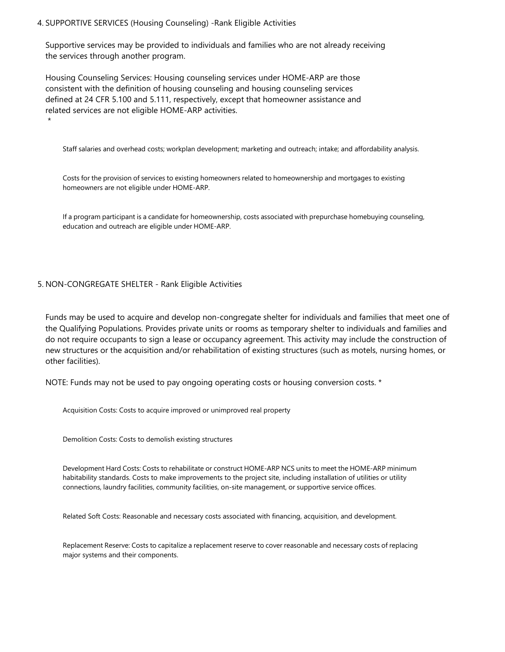# 4. SUPPORTIVE SERVICES (Housing Counseling) -Rank Eligible Activities

Supportive services may be provided to individuals and families who are not already receiving the services through another program.

Housing Counseling Services: Housing counseling services under HOME-ARP are those consistent with the definition of housing counseling and housing counseling services defined at 24 CFR 5.100 and 5.111, respectively, except that homeowner assistance and related services are not eligible HOME-ARP activities.

Staff salaries and overhead costs; workplan development; marketing and outreach; intake; and affordability analysis.

Costs for the provision of services to existing homeowners related to homeownership and mortgages to existing homeowners are not eligible under HOME-ARP.

If a program participant is a candidate for homeownership, costs associated with prepurchase homebuying counseling, education and outreach are eligible under HOME-ARP.

#### 5. NON-CONGREGATE SHELTER - Rank Eligible Activities

\*

Funds may be used to acquire and develop non-congregate shelter for individuals and families that meet one of the Qualifying Populations. Provides private units or rooms as temporary shelter to individuals and families and do not require occupants to sign a lease or occupancy agreement. This activity may include the construction of new structures or the acquisition and/or rehabilitation of existing structures (such as motels, nursing homes, or other facilities).

NOTE: Funds may not be used to pay ongoing operating costs or housing conversion costs. \*

Acquisition Costs: Costs to acquire improved or unimproved real property

Demolition Costs: Costs to demolish existing structures

Development Hard Costs: Costs to rehabilitate or construct HOME-ARP NCS units to meet the HOME-ARP minimum habitability standards. Costs to make improvements to the project site, including installation of utilities or utility connections, laundry facilities, community facilities, on-site management, or supportive service offices.

Related Soft Costs: Reasonable and necessary costs associated with financing, acquisition, and development.

Replacement Reserve: Costs to capitalize a replacement reserve to cover reasonable and necessary costs of replacing major systems and their components.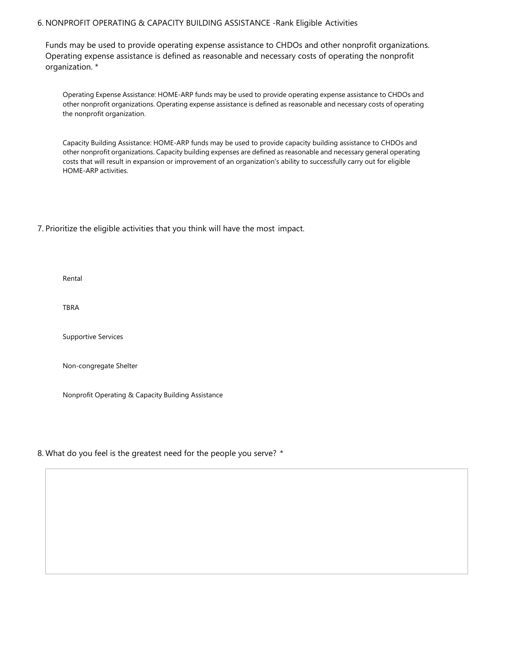# 6. NONPROFIT OPERATING & CAPACITY BUILDING ASSISTANCE -Rank Eligible Activities

Funds may be used to provide operating expense assistance to CHDOs and other nonprofit organizations. Operating expense assistance is defined as reasonable and necessary costs of operating the nonprofit organization. \*

Operating Expense Assistance: HOME-ARP funds may be used to provide operating expense assistance to CHDOs and other nonprofit organizations. Operating expense assistance is defined as reasonable and necessary costs of operating the nonprofit organization.

Capacity Building Assistance: HOME-ARP funds may be used to provide capacity building assistance to CHDOs and other nonprofit organizations. Capacity building expenses are defined as reasonable and necessary general operating costs that will result in expansion or improvement of an organization's ability to successfully carry out for eligible HOME-ARP activities.

## 7. Prioritize the eligible activities that you think will have the most impact.

Rental

TBRA

Supportive Services

Non-congregate Shelter

Nonprofit Operating & Capacity Building Assistance

#### 8. What do you feel is the greatest need for the people you serve? \*